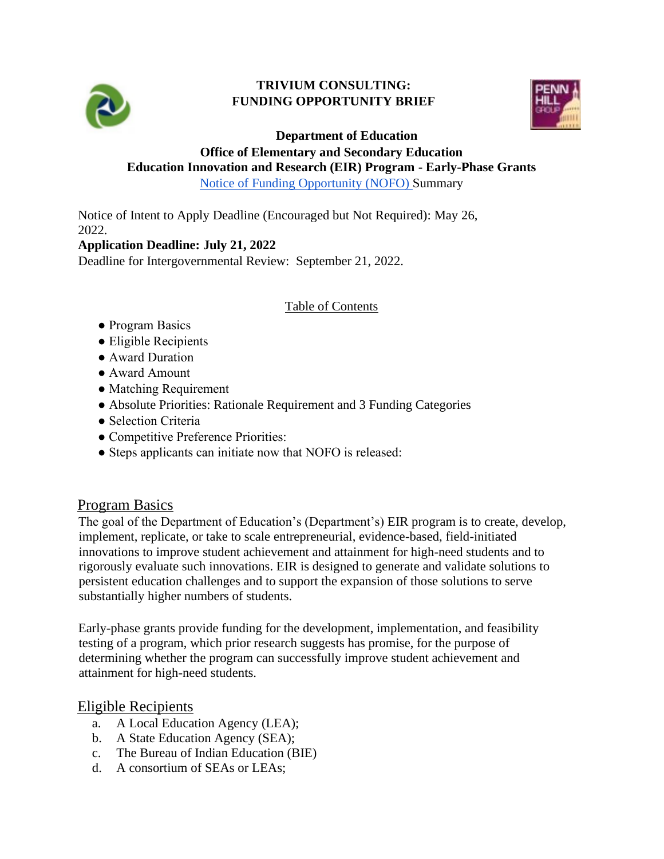

#### **TRIVIUM CONSULTING: FUNDING OPPORTUNITY BRIEF**



#### **Department of Education**

#### **Office of Elementary and Secondary Education Education Innovation and Research (EIR) Program - Early-Phase Grants**

[Notice of Funding Opportunity \(NOFO\)](https://www.grants.gov/web/grants/view-opportunity.html?oppId=339827) Summary

Notice of Intent to Apply Deadline (Encouraged but Not Required): May 26, 2022.

### **Application Deadline: July 21, 2022**

Deadline for Intergovernmental Review: September 21, 2022.

#### Table of Contents

- Program Basics
- Eligible Recipients
- Award Duration
- Award Amount
- Matching Requirement
- Absolute Priorities: Rationale Requirement and 3 Funding Categories
- Selection Criteria
- Competitive Preference Priorities:
- Steps applicants can initiate now that NOFO is released:

### **Program Basics**

The goal of the Department of Education's (Department's) EIR program is to create, develop, implement, replicate, or take to scale entrepreneurial, evidence-based, field-initiated innovations to improve student achievement and attainment for high-need students and to rigorously evaluate such innovations. EIR is designed to generate and validate solutions to persistent education challenges and to support the expansion of those solutions to serve substantially higher numbers of students.

Early-phase grants provide funding for the development, implementation, and feasibility testing of a program, which prior research suggests has promise, for the purpose of determining whether the program can successfully improve student achievement and attainment for high-need students.

### Eligible Recipients

- a. A Local Education Agency (LEA);
- b. A State Education Agency (SEA);
- c. The Bureau of Indian Education (BIE)
- d. A consortium of SEAs or LEAs;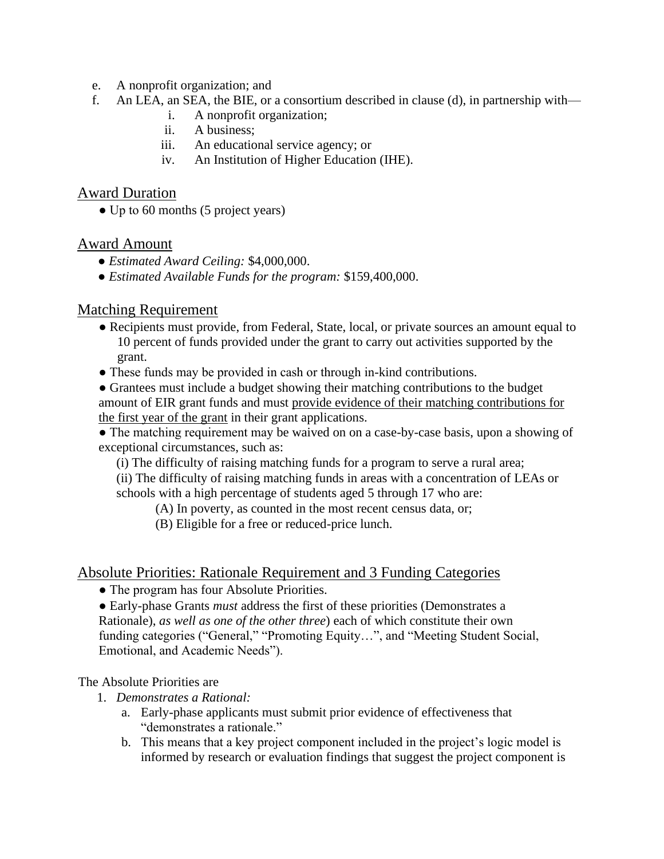- e. A nonprofit organization; and
- f. An LEA, an SEA, the BIE, or a consortium described in clause (d), in partnership with
	- i. A nonprofit organization;
	- ii. A business;
	- iii. An educational service agency; or
	- iv. An Institution of Higher Education (IHE).

### Award Duration

• Up to 60 months (5 project years)

# Award Amount

- *Estimated Award Ceiling:* \$4,000,000.
- *Estimated Available Funds for the program:* \$159,400,000.

# Matching Requirement

- Recipients must provide, from Federal, State, local, or private sources an amount equal to 10 percent of funds provided under the grant to carry out activities supported by the grant.
- These funds may be provided in cash or through in-kind contributions.
- Grantees must include a budget showing their matching contributions to the budget amount of EIR grant funds and must provide evidence of their matching contributions for the first year of the grant in their grant applications.

● The matching requirement may be waived on on a case-by-case basis, upon a showing of exceptional circumstances, such as:

(i) The difficulty of raising matching funds for a program to serve a rural area;

(ii) The difficulty of raising matching funds in areas with a concentration of LEAs or schools with a high percentage of students aged 5 through 17 who are:

(A) In poverty, as counted in the most recent census data, or;

(B) Eligible for a free or reduced-price lunch.

### Absolute Priorities: Rationale Requirement and 3 Funding Categories

• The program has four Absolute Priorities.

● Early-phase Grants *must* address the first of these priorities (Demonstrates a Rationale), *as well as one of the other three*) each of which constitute their own funding categories ("General," "Promoting Equity…", and "Meeting Student Social, Emotional, and Academic Needs").

The Absolute Priorities are

- 1. *Demonstrates a Rational:*
	- a. Early-phase applicants must submit prior evidence of effectiveness that "demonstrates a rationale."
	- b. This means that a key project component included in the project's logic model is informed by research or evaluation findings that suggest the project component is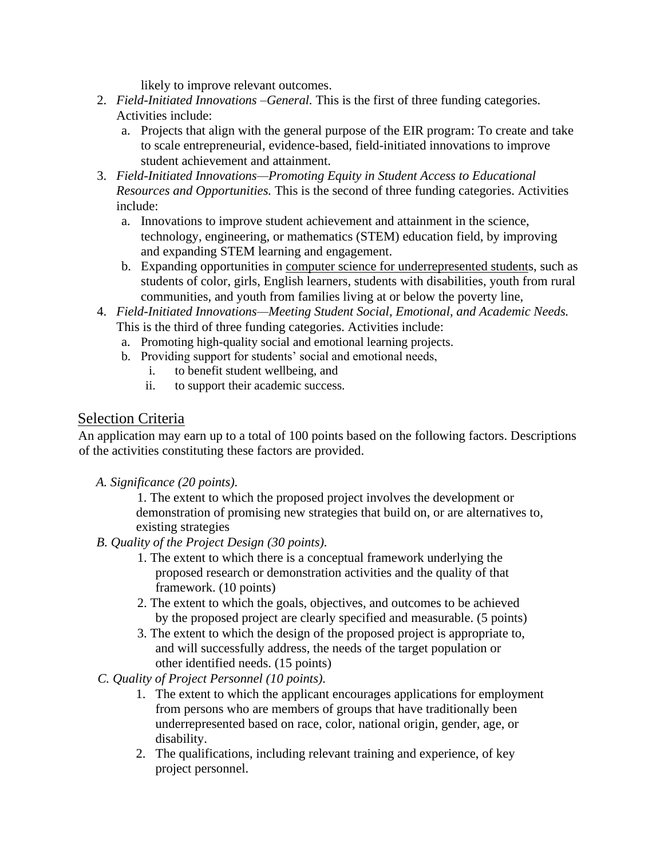likely to improve relevant outcomes.

- 2. *Field-Initiated Innovations –General.* This is the first of three funding categories. Activities include:
	- a. Projects that align with the general purpose of the EIR program: To create and take to scale entrepreneurial, evidence-based, field-initiated innovations to improve student achievement and attainment.
- 3. *Field-Initiated Innovations—Promoting Equity in Student Access to Educational Resources and Opportunities.* This is the second of three funding categories. Activities include:
	- a. Innovations to improve student achievement and attainment in the science, technology, engineering, or mathematics (STEM) education field, by improving and expanding STEM learning and engagement.
	- b. Expanding opportunities in computer science for underrepresented students, such as students of color, girls, English learners, students with disabilities, youth from rural communities, and youth from families living at or below the poverty line,
- 4. *Field-Initiated Innovations—Meeting Student Social, Emotional, and Academic Needs.*  This is the third of three funding categories. Activities include:
	- a. Promoting high-quality social and emotional learning projects.
	- b. Providing support for students' social and emotional needs,
		- i. to benefit student wellbeing, and
		- ii. to support their academic success.

# Selection Criteria

An application may earn up to a total of 100 points based on the following factors. Descriptions of the activities constituting these factors are provided.

*A. Significance (20 points).* 

1. The extent to which the proposed project involves the development or demonstration of promising new strategies that build on, or are alternatives to, existing strategies

- *B. Quality of the Project Design (30 points).* 
	- 1. The extent to which there is a conceptual framework underlying the proposed research or demonstration activities and the quality of that framework. (10 points)
	- 2. The extent to which the goals, objectives, and outcomes to be achieved by the proposed project are clearly specified and measurable. (5 points)
	- 3. The extent to which the design of the proposed project is appropriate to, and will successfully address, the needs of the target population or other identified needs. (15 points)
- *C. Quality of Project Personnel (10 points).*
	- 1. The extent to which the applicant encourages applications for employment from persons who are members of groups that have traditionally been underrepresented based on race, color, national origin, gender, age, or disability.
	- 2. The qualifications, including relevant training and experience, of key project personnel.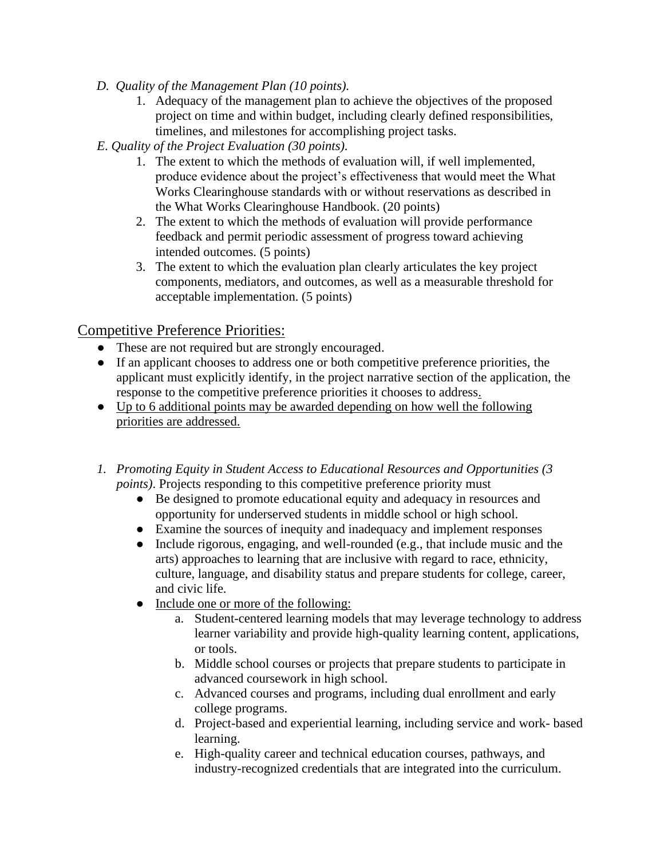- *D. Quality of the Management Plan (10 points).*
	- 1. Adequacy of the management plan to achieve the objectives of the proposed project on time and within budget, including clearly defined responsibilities, timelines, and milestones for accomplishing project tasks.
- *E*. *Quality of the Project Evaluation (30 points).* 
	- 1. The extent to which the methods of evaluation will, if well implemented, produce evidence about the project's effectiveness that would meet the What Works Clearinghouse standards with or without reservations as described in the What Works Clearinghouse Handbook. (20 points)
	- 2. The extent to which the methods of evaluation will provide performance feedback and permit periodic assessment of progress toward achieving intended outcomes. (5 points)
	- 3. The extent to which the evaluation plan clearly articulates the key project components, mediators, and outcomes, as well as a measurable threshold for acceptable implementation. (5 points)

# Competitive Preference Priorities:

- These are not required but are strongly encouraged.
- If an applicant chooses to address one or both competitive preference priorities, the applicant must explicitly identify, in the project narrative section of the application, the response to the competitive preference priorities it chooses to address.
- Up to 6 additional points may be awarded depending on how well the following priorities are addressed.
- *1. Promoting Equity in Student Access to Educational Resources and Opportunities (3 points*). Projects responding to this competitive preference priority must
	- Be designed to promote educational equity and adequacy in resources and opportunity for underserved students in middle school or high school.
	- Examine the sources of inequity and inadequacy and implement responses
	- Include rigorous, engaging, and well-rounded (e.g., that include music and the arts) approaches to learning that are inclusive with regard to race, ethnicity, culture, language, and disability status and prepare students for college, career, and civic life.
	- Include one or more of the following:
		- a. Student-centered learning models that may leverage technology to address learner variability and provide high-quality learning content, applications, or tools.
		- b. Middle school courses or projects that prepare students to participate in advanced coursework in high school.
		- c. Advanced courses and programs, including dual enrollment and early college programs.
		- d. Project-based and experiential learning, including service and work- based learning.
		- e. High-quality career and technical education courses, pathways, and industry-recognized credentials that are integrated into the curriculum.